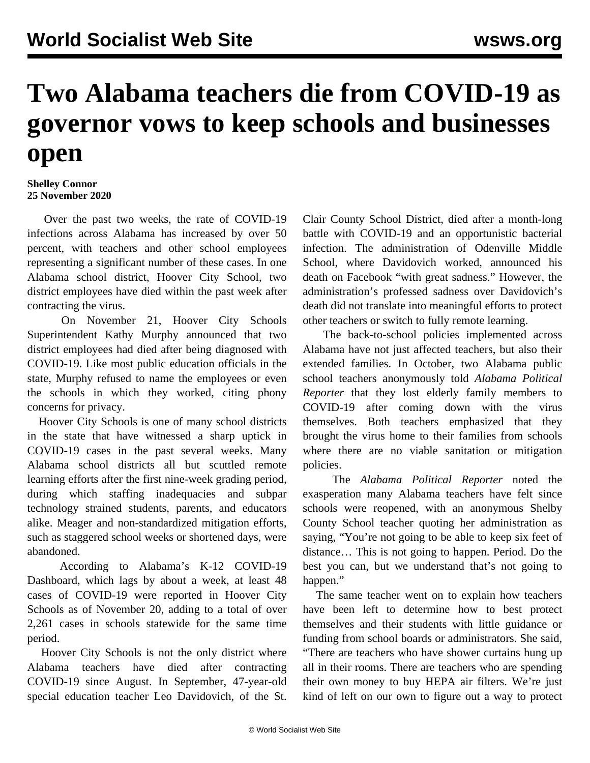## **Two Alabama teachers die from COVID-19 as governor vows to keep schools and businesses open**

**Shelley Connor 25 November 2020**

 Over the past two weeks, the rate of COVID-19 infections across Alabama has increased by over 50 percent, with teachers and other school employees representing a significant number of these cases. In one Alabama school district, Hoover City School, two district employees have died within the past week after contracting the virus.

 On November 21, Hoover City Schools Superintendent Kathy Murphy announced that two district employees had died after being diagnosed with COVID-19. Like most public education officials in the state, Murphy refused to name the employees or even the schools in which they worked, citing phony concerns for privacy.

 Hoover City Schools is one of many school districts in the state that have witnessed a sharp uptick in COVID-19 cases in the past several weeks. Many Alabama school districts all but scuttled remote learning efforts after the first nine-week grading period, during which staffing inadequacies and subpar technology strained students, parents, and educators alike. Meager and non-standardized mitigation efforts, such as staggered school weeks or shortened days, were abandoned.

 According to Alabama's K-12 COVID-19 Dashboard, which lags by about a week, at least 48 cases of COVID-19 were reported in Hoover City Schools as of November 20, adding to a total of over 2,261 cases in schools statewide for the same time period.

 Hoover City Schools is not the only district where Alabama teachers have died after contracting COVID-19 since August. In September, 47-year-old special education teacher Leo Davidovich, of the St. Clair County School District, died after a month-long battle with COVID-19 and an opportunistic bacterial infection. The administration of Odenville Middle School, where Davidovich worked, announced his death on Facebook "with great sadness." However, the administration's professed sadness over Davidovich's death did not translate into meaningful efforts to protect other teachers or switch to fully remote learning.

 The back-to-school policies implemented across Alabama have not just affected teachers, but also their extended families. In October, two Alabama public school teachers anonymously told *Alabama Political Reporter* that they lost elderly family members to COVID-19 after coming down with the virus themselves. Both teachers emphasized that they brought the virus home to their families from schools where there are no viable sanitation or mitigation policies.

 The *Alabama Political Reporter* noted the exasperation many Alabama teachers have felt since schools were reopened, with an anonymous Shelby County School teacher quoting her administration as saying, "You're not going to be able to keep six feet of distance… This is not going to happen. Period. Do the best you can, but we understand that's not going to happen."

 The same teacher went on to explain how teachers have been left to determine how to best protect themselves and their students with little guidance or funding from school boards or administrators. She said, "There are teachers who have shower curtains hung up all in their rooms. There are teachers who are spending their own money to buy HEPA air filters. We're just kind of left on our own to figure out a way to protect